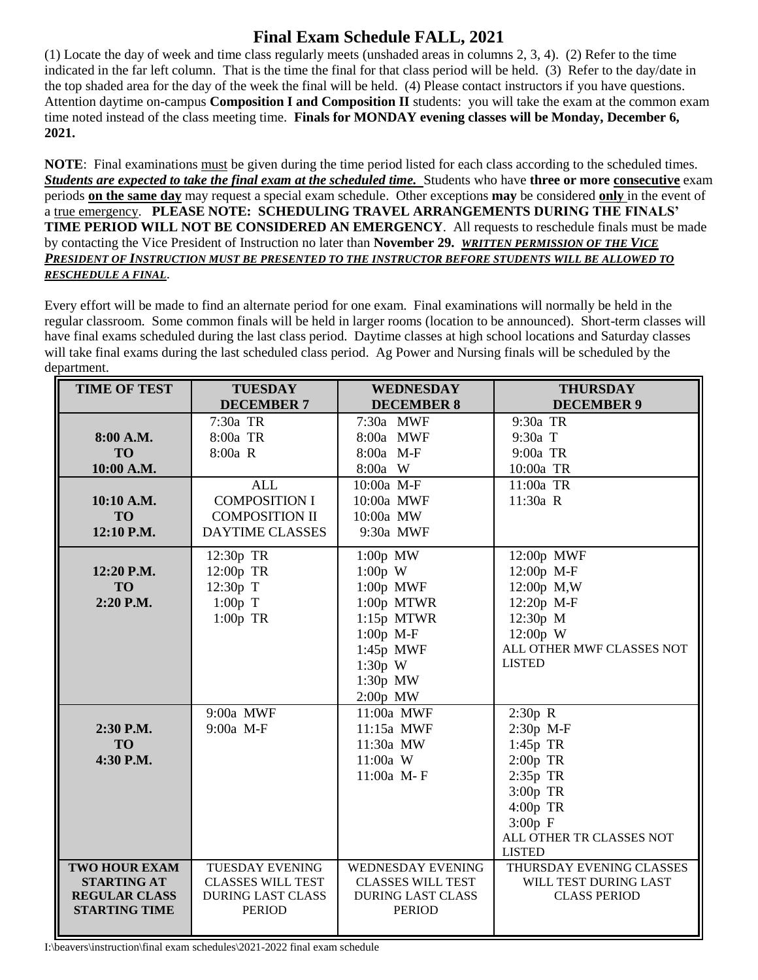## **Final Exam Schedule FALL, 2021**

(1) Locate the day of week and time class regularly meets (unshaded areas in columns 2, 3, 4). (2) Refer to the time indicated in the far left column. That is the time the final for that class period will be held. (3) Refer to the day/date in the top shaded area for the day of the week the final will be held. (4) Please contact instructors if you have questions. Attention daytime on-campus **Composition I and Composition II** students: you will take the exam at the common exam time noted instead of the class meeting time. **Finals for MONDAY evening classes will be Monday, December 6, 2021.**

**NOTE:** Final examinations must be given during the time period listed for each class according to the scheduled times. *Students are expected to take the final exam at the scheduled time.* Students who have **three or more consecutive** exam periods **on the same day** may request a special exam schedule. Other exceptions **may** be considered **only** in the event of a true emergency. **PLEASE NOTE: SCHEDULING TRAVEL ARRANGEMENTS DURING THE FINALS' TIME PERIOD WILL NOT BE CONSIDERED AN EMERGENCY**. All requests to reschedule finals must be made by contacting the Vice President of Instruction no later than **November 29.** *WRITTEN PERMISSION OF THE VICE PRESIDENT OF INSTRUCTION MUST BE PRESENTED TO THE INSTRUCTOR BEFORE STUDENTS WILL BE ALLOWED TO RESCHEDULE A FINAL*.

Every effort will be made to find an alternate period for one exam. Final examinations will normally be held in the regular classroom. Some common finals will be held in larger rooms (location to be announced). Short-term classes will have final exams scheduled during the last class period. Daytime classes at high school locations and Saturday classes will take final exams during the last scheduled class period. Ag Power and Nursing finals will be scheduled by the department.

| <b>TIME OF TEST</b>                                                                        | <b>TUESDAY</b>                                                                                  | <b>WEDNESDAY</b>                                                                                                                          | <b>THURSDAY</b>                                                                                                                              |
|--------------------------------------------------------------------------------------------|-------------------------------------------------------------------------------------------------|-------------------------------------------------------------------------------------------------------------------------------------------|----------------------------------------------------------------------------------------------------------------------------------------------|
|                                                                                            | <b>DECEMBER 7</b>                                                                               | <b>DECEMBER 8</b>                                                                                                                         | <b>DECEMBER 9</b>                                                                                                                            |
| 8:00 A.M.<br><b>TO</b><br>10:00 A.M.                                                       | 7:30a TR<br>8:00a TR<br>8:00a R                                                                 | 7:30a MWF<br>8:00a MWF<br>8:00a M-F<br>8:00a W                                                                                            | 9:30a TR<br>9:30a T<br>9:00a TR<br>10:00a TR                                                                                                 |
| 10:10 A.M.<br><b>TO</b><br>12:10 P.M.                                                      | <b>ALL</b><br><b>COMPOSITION I</b><br><b>COMPOSITION II</b><br>DAYTIME CLASSES                  | 10:00a M-F<br>10:00a MWF<br>10:00a MW<br>9:30a MWF                                                                                        | 11:00a TR<br>11:30a R                                                                                                                        |
| 12:20 P.M.<br><b>TO</b><br>2:20 P.M.                                                       | 12:30p TR<br>12:00p TR<br>12:30p T<br>$1:00p$ T<br>$1:00p$ TR                                   | $1:00p$ MW<br>$1:00p$ W<br>$1:00p$ MWF<br>1:00p MTWR<br>$1:15p$ MTWR<br>1:00p M-F<br>$1:45p$ MWF<br>$1:30p$ W<br>$1:30p$ MW<br>$2:00p$ MW | 12:00p MWF<br>12:00p M-F<br>12:00p M,W<br>12:20p M-F<br>12:30p M<br>12:00p W<br>ALL OTHER MWF CLASSES NOT<br><b>LISTED</b>                   |
| 2:30 P.M.<br><b>TO</b><br>4:30 P.M.                                                        | 9:00a MWF<br>9:00a M-F                                                                          | 11:00a MWF<br>11:15a MWF<br>11:30a MW<br>11:00a W<br>11:00a M-F                                                                           | 2:30p R<br>2:30p M-F<br>1:45p TR<br>$2:00p$ TR<br>2:35p TR<br>3:00p TR<br>4:00p TR<br>$3:00p$ F<br>ALL OTHER TR CLASSES NOT<br><b>LISTED</b> |
| <b>TWO HOUR EXAM</b><br><b>STARTING AT</b><br><b>REGULAR CLASS</b><br><b>STARTING TIME</b> | <b>TUESDAY EVENING</b><br><b>CLASSES WILL TEST</b><br><b>DURING LAST CLASS</b><br><b>PERIOD</b> | WEDNESDAY EVENING<br><b>CLASSES WILL TEST</b><br><b>DURING LAST CLASS</b><br><b>PERIOD</b>                                                | THURSDAY EVENING CLASSES<br>WILL TEST DURING LAST<br><b>CLASS PERIOD</b>                                                                     |

I:\beavers\instruction\final exam schedules\2021-2022 final exam schedule